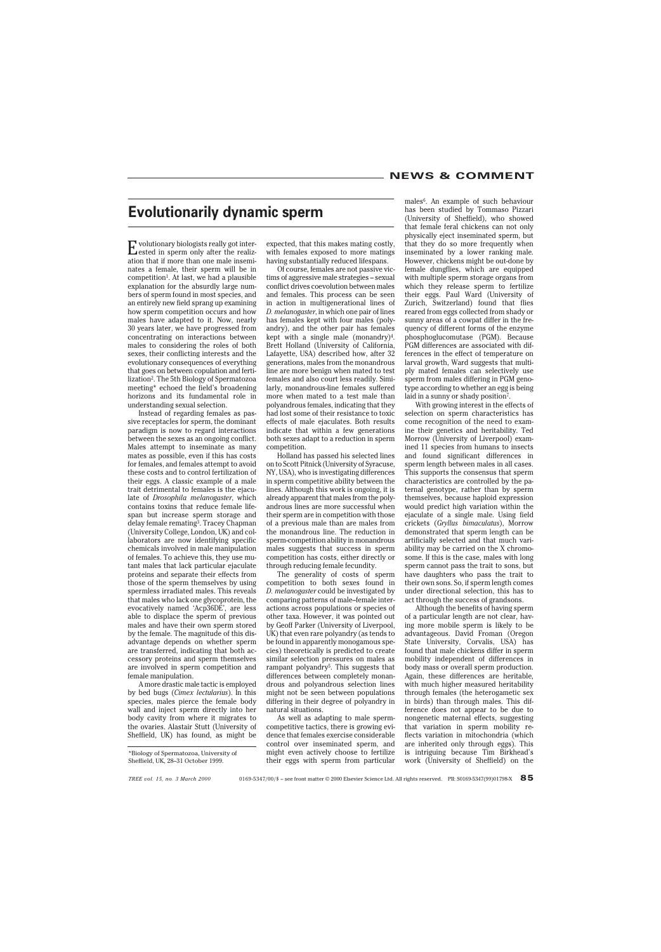# **Evolutionarily dynamic sperm**

Evolutionary biologists really got inter-ested in sperm only after the realization that if more than one male inseminates a female, their sperm will be in competition<sup>1</sup>. At last, we had a plausible explanation for the absurdly large numbers of sperm found in most species, and an entirely new field sprang up examining how sperm competition occurs and how males have adapted to it. Now, nearly 30 years later, we have progressed from concentrating on interactions between males to considering the roles of both sexes, their conflicting interests and the evolutionary consequences of everything that goes on between copulation and fertilization2. The 5th Biology of Spermatozoa meeting\* echoed the field's broadening horizons and its fundamental role in understanding sexual selection.

Instead of regarding females as passive receptacles for sperm, the dominant paradigm is now to regard interactions between the sexes as an ongoing conflict. Males attempt to inseminate as many mates as possible, even if this has costs for females, and females attempt to avoid these costs and to control fertilization of their eggs. A classic example of a male trait detrimental to females is the ejaculate of *Drosophila melanogaster*, which contains toxins that reduce female lifespan but increase sperm storage and delay female remating<sup>3</sup>. Tracey Chapman (University College, London, UK) and collaborators are now identifying specific chemicals involved in male manipulation of females. To achieve this, they use mutant males that lack particular ejaculate proteins and separate their effects from those of the sperm themselves by using spermless irradiated males. This reveals that males who lack one glycoprotein, the evocatively named 'Acp36DE', are less able to displace the sperm of previous males and have their own sperm stored by the female. The magnitude of this disadvantage depends on whether sperm are transferred, indicating that both accessory proteins and sperm themselves are involved in sperm competition and female manipulation.

A more drastic male tactic is employed by bed bugs (*Cimex lectularius*). In this species, males pierce the female body wall and inject sperm directly into her body cavity from where it migrates to the ovaries. Alastair Stutt (University of Sheffield, UK) has found, as might be

expected, that this makes mating costly, with females exposed to more matings having substantially reduced lifespans.

Of course, females are not passive victims of aggressive male strategies – sexual conflict drives coevolution between males and females. This process can be seen in action in multigenerational lines of *D. melanogaster*, in which one pair of lines has females kept with four males (polyandry), and the other pair has females kept with a single male  $(monandry)<sup>4</sup>$ . Brett Holland (University of California, Lafayette, USA) described how, after 32 generations, males from the monandrous line are more benign when mated to test females and also court less readily. Similarly, monandrous-line females suffered more when mated to a test male than polyandrous females, indicating that they had lost some of their resistance to toxic effects of male ejaculates. Both results indicate that within a few generations both sexes adapt to a reduction in sperm competition.

Holland has passed his selected lines on to Scott Pitnick (University of Syracuse, NY, USA), who is investigating differences in sperm competitive ability between the lines. Although this work is ongoing, it is already apparent that males from the polyandrous lines are more successful when their sperm are in competition with those of a previous male than are males from the monandrous line. The reduction in sperm-competition ability in monandrous males suggests that success in sperm competition has costs, either directly or through reducing female fecundity.

The generality of costs of sperm competition to both sexes found in *D. melanogaster* could be investigated by comparing patterns of male–female interactions across populations or species of other taxa. However, it was pointed out by Geoff Parker (University of Liverpool, UK) that even rare polyandry (as tends to be found in apparently monogamous species) theoretically is predicted to create similar selection pressures on males as rampant polyandry5. This suggests that differences between completely monandrous and polyandrous selection lines might not be seen between populations differing in their degree of polyandry in natural situations.

As well as adapting to male spermcompetitive tactics, there is growing evidence that females exercise considerable control over inseminated sperm, and might even actively choose to fertilize their eggs with sperm from particular

males6. An example of such behaviour has been studied by Tommaso Pizzari (University of Sheffield), who showed that female feral chickens can not only physically eject inseminated sperm, but that they do so more frequently when inseminated by a lower ranking male. However, chickens might be out-done by female dungflies, which are equipped with multiple sperm storage organs from which they release sperm to fertilize their eggs. Paul Ward (University of Zurich, Switzerland) found that flies reared from eggs collected from shady or sunny areas of a cowpat differ in the frequency of different forms of the enzyme phosphoglucomutase (PGM). Because PGM differences are associated with differences in the effect of temperature on larval growth, Ward suggests that multiply mated females can selectively use sperm from males differing in PGM genotype according to whether an egg is being laid in a sunny or shady position<sup>7</sup>.

With growing interest in the effects of selection on sperm characteristics has come recognition of the need to examine their genetics and heritability. Ted Morrow (University of Liverpool) examined 11 species from humans to insects and found significant differences in sperm length between males in all cases. This supports the consensus that sperm characteristics are controlled by the paternal genotype, rather than by sperm themselves, because haploid expression would predict high variation within the ejaculate of a single male. Using field crickets (*Gryllus bimaculatus*), Morrow demonstrated that sperm length can be artificially selected and that much variability may be carried on the X chromosome. If this is the case, males with long sperm cannot pass the trait to sons, but have daughters who pass the trait to their own sons. So, if sperm length comes under directional selection, this has to act through the success of grandsons.

Although the benefits of having sperm of a particular length are not clear, having more mobile sperm is likely to be advantageous. David Froman (Oregon State University, Corvalis, USA) has found that male chickens differ in sperm mobility independent of differences in body mass or overall sperm production. Again, these differences are heritable, with much higher measured heritability through females (the heterogametic sex in birds) than through males. This difference does not appear to be due to nongenetic maternal effects, suggesting that variation in sperm mobility reflects variation in mitochondria (which are inherited only through eggs). This is intriguing because Tim Birkhead's work (University of Sheffield) on the

<sup>\*</sup>Biology of Spermatozoa, University of Sheffield, UK, 28–31 October 1999.